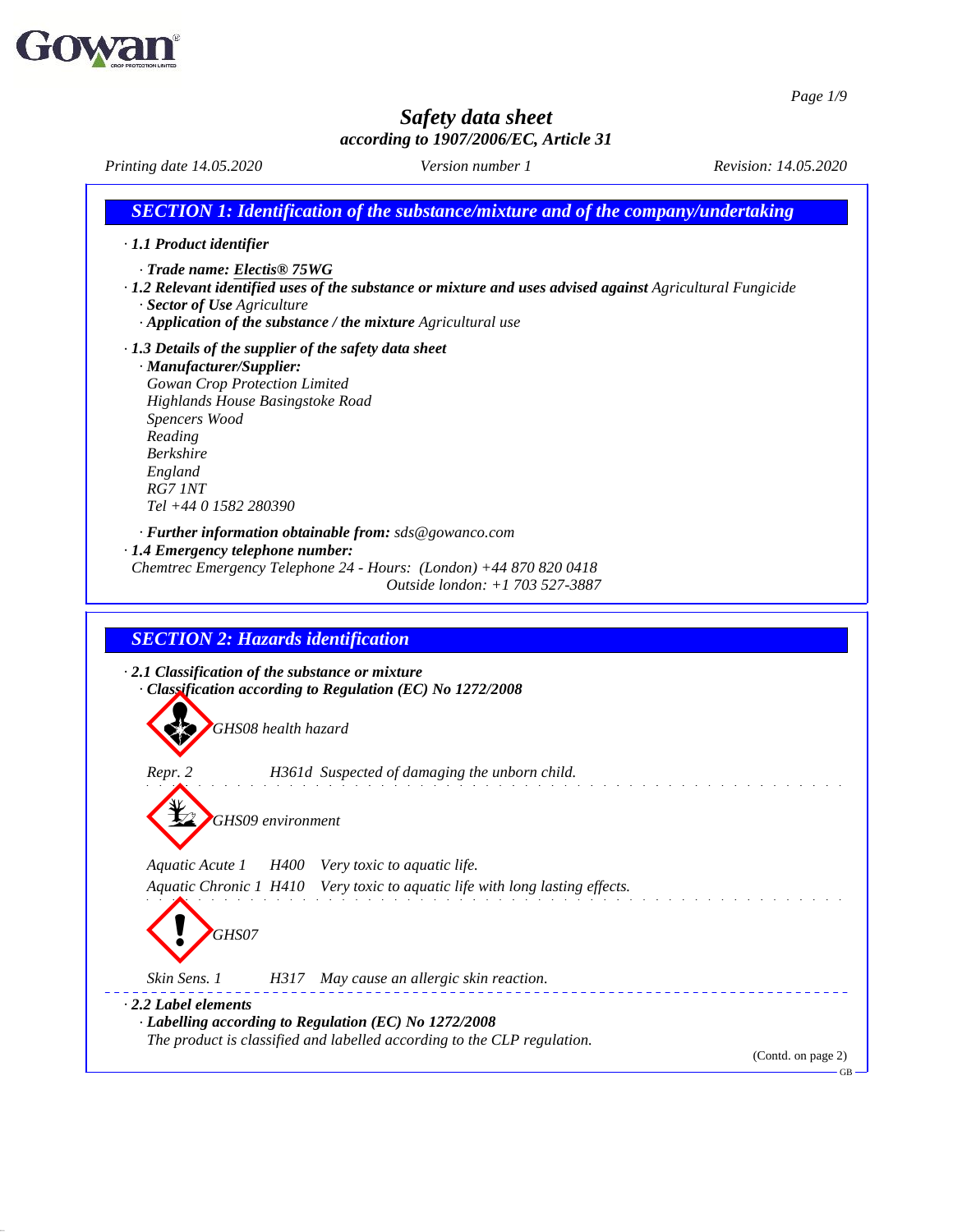

51.0.11

## *Safety data sheet according to 1907/2006/EC, Article 31*

*Printing date 14.05.2020 Version number 1 Revision: 14.05.2020 SECTION 1: Identification of the substance/mixture and of the company/undertaking · 1.1 Product identifier · Trade name: Electis® 75WG · 1.2 Relevant identified uses of the substance or mixture and uses advised against Agricultural Fungicide · Sector of Use Agriculture · Application of the substance / the mixture Agricultural use · 1.3 Details of the supplier of the safety data sheet · Manufacturer/Supplier: Gowan Crop Protection Limited Highlands House Basingstoke Road Spencers Wood Reading Berkshire England RG7 1NT Tel +44 0 1582 280390 · Further information obtainable from: sds@gowanco.com · 1.4 Emergency telephone number: Chemtrec Emergency Telephone 24 - Hours: (London) +44 870 820 0418 Outside london: +1 703 527-3887 SECTION 2: Hazards identification · 2.1 Classification of the substance or mixture · Classification according to Regulation (EC) No 1272/2008 GHS08 health hazard Repr. 2 H361d Suspected of damaging the unborn child. GHS09 environment Aquatic Acute 1 H400 Very toxic to aquatic life. Aquatic Chronic 1 H410 Very toxic to aquatic life with long lasting ef ects.* **GHS07** *Skin Sens. 1 H317 May cause an allergic skin reaction. · 2.2 Label elements · Labelling according to Regulation (EC) No 1272/2008 The product is classified and labelled according to the CLP regulation.* (Contd. on page 2)GB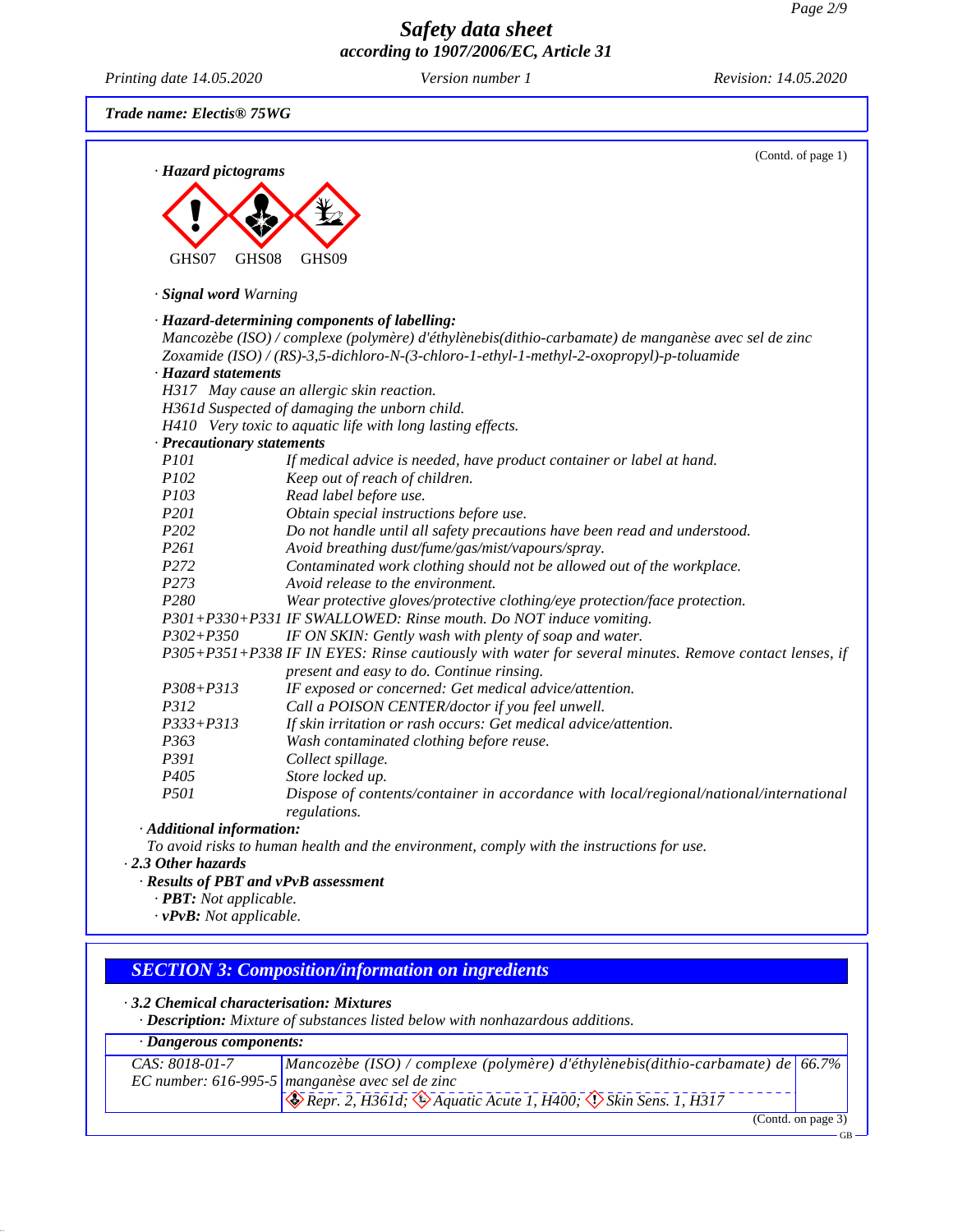*Printing date 14.05.2020 Version number 1 Revision: 14.05.2020*

51.0.11

(Contd. of page 1)

*Trade name: Electis® 75WG*

| GHS07<br>GHS08                          | GHS09                                                                                                                                                              |
|-----------------------------------------|--------------------------------------------------------------------------------------------------------------------------------------------------------------------|
| · Signal word Warning                   |                                                                                                                                                                    |
|                                         | · Hazard-determining components of labelling:                                                                                                                      |
|                                         | Mancozèbe (ISO) / complexe (polymère) d'éthylènebis(dithio-carbamate) de manganèse avec sel de zinc                                                                |
|                                         | Zoxamide (ISO) / (RS)-3,5-dichloro-N-(3-chloro-1-ethyl-1-methyl-2-oxopropyl)-p-toluamide                                                                           |
| · Hazard statements                     |                                                                                                                                                                    |
|                                         | H317 May cause an allergic skin reaction.                                                                                                                          |
|                                         | H361d Suspected of damaging the unborn child.                                                                                                                      |
|                                         | H410 Very toxic to aquatic life with long lasting effects.                                                                                                         |
| · Precautionary statements              |                                                                                                                                                                    |
| P <sub>101</sub>                        | If medical advice is needed, have product container or label at hand.                                                                                              |
| P102                                    | Keep out of reach of children.                                                                                                                                     |
| P <sub>103</sub>                        | Read label before use.                                                                                                                                             |
| P201                                    | Obtain special instructions before use.                                                                                                                            |
| P202                                    | Do not handle until all safety precautions have been read and understood.                                                                                          |
| P261                                    | Avoid breathing dust/fume/gas/mist/vapours/spray.                                                                                                                  |
| P272                                    | Contaminated work clothing should not be allowed out of the workplace.                                                                                             |
| P273                                    | Avoid release to the environment.                                                                                                                                  |
| P280                                    | Wear protective gloves/protective clothing/eye protection/face protection.                                                                                         |
|                                         | P301+P330+P331 IF SWALLOWED: Rinse mouth. Do NOT induce vomiting.                                                                                                  |
| $P302 + P350$                           | IF ON SKIN: Gently wash with plenty of soap and water.                                                                                                             |
|                                         | P305+P351+P338 IF IN EYES: Rinse cautiously with water for several minutes. Remove contact lenses, if                                                              |
|                                         | present and easy to do. Continue rinsing.                                                                                                                          |
| $P308 + P313$                           | IF exposed or concerned: Get medical advice/attention.                                                                                                             |
| P312                                    | Call a POISON CENTER/doctor if you feel unwell.                                                                                                                    |
| $P333 + P313$                           | If skin irritation or rash occurs: Get medical advice/attention.                                                                                                   |
| P363<br>P391                            | Wash contaminated clothing before reuse.                                                                                                                           |
| P405                                    | Collect spillage.                                                                                                                                                  |
| <i>P501</i>                             | Store locked up.                                                                                                                                                   |
|                                         | Dispose of contents/container in accordance with local/regional/national/international<br>regulations.                                                             |
| · Additional information:               |                                                                                                                                                                    |
|                                         | To avoid risks to human health and the environment, comply with the instructions for use.                                                                          |
| $\cdot$ 2.3 Other hazards               |                                                                                                                                                                    |
| · Results of PBT and vPvB assessment    |                                                                                                                                                                    |
| · <b>PBT</b> : Not applicable.          |                                                                                                                                                                    |
| $\cdot$ vPvB: Not applicable.           |                                                                                                                                                                    |
|                                         |                                                                                                                                                                    |
|                                         |                                                                                                                                                                    |
|                                         | <b>SECTION 3: Composition/information on ingredients</b>                                                                                                           |
| 3.2 Chemical characterisation: Mixtures |                                                                                                                                                                    |
|                                         | · Description: Mixture of substances listed below with nonhazardous additions.                                                                                     |
|                                         |                                                                                                                                                                    |
| · Dangerous components:                 | Mancozèbe (ISO) / complexe (polymère) d'éthylènebis(dithio-carbamate) de 66.7%                                                                                     |
| CAS: 8018-01-7                          |                                                                                                                                                                    |
|                                         |                                                                                                                                                                    |
|                                         | EC number: 616-995-5 manganèse avec sel de zinc<br>$\leftrightarrow$ Repr. 2, H361d; $\leftrightarrow$ Aquatic Acute 1, H400; $\leftrightarrow$ Skin Sens. 1, H317 |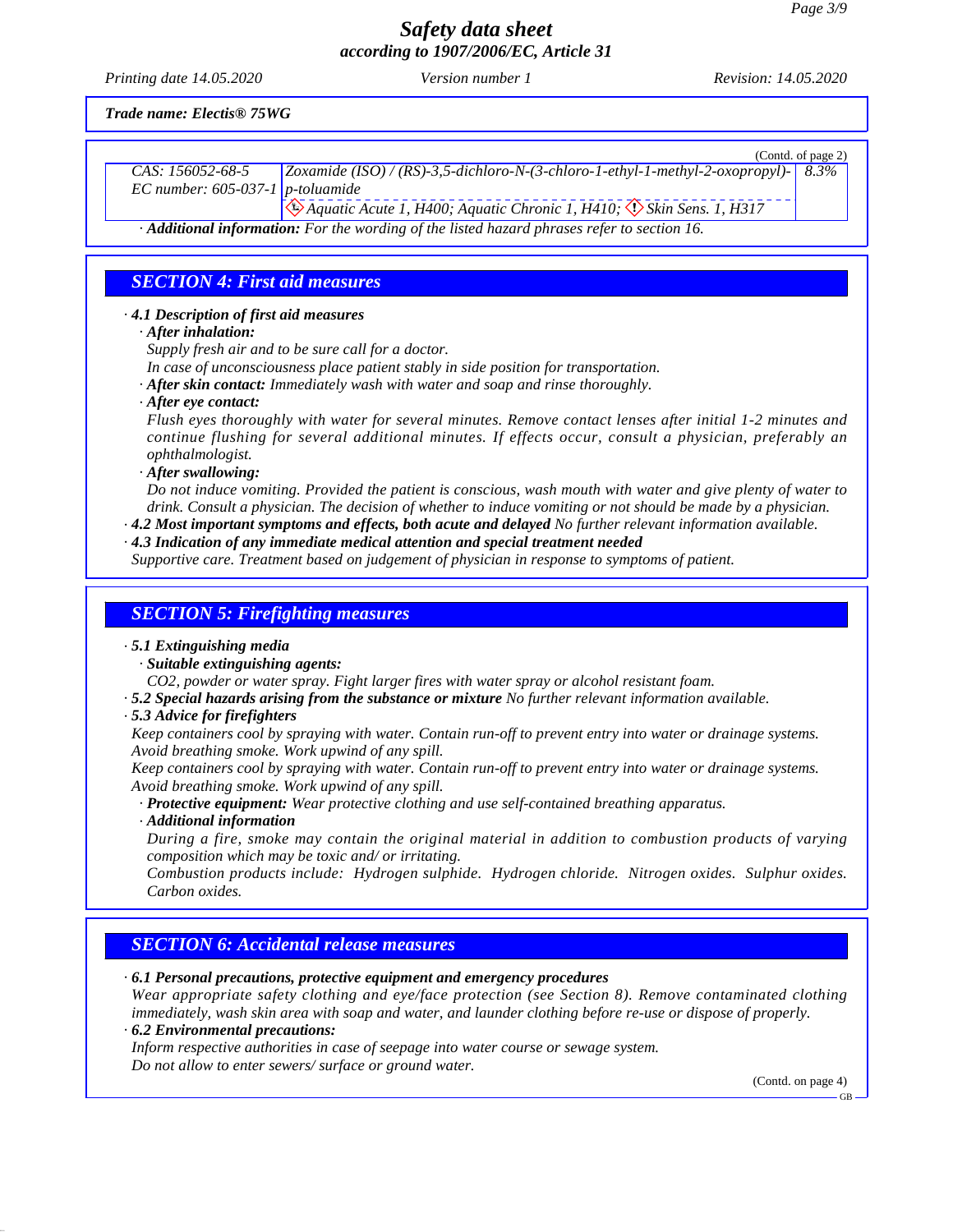GB

# *Safety data sheet according to 1907/2006/EC, Article 31*

*Printing date 14.05.2020 Version number 1 Revision: 14.05.2020*

*Trade name: Electis® 75WG*

|                                                        | (Contd. of page 2)                                                                                                                                                                                                                                                                                                                                 |
|--------------------------------------------------------|----------------------------------------------------------------------------------------------------------------------------------------------------------------------------------------------------------------------------------------------------------------------------------------------------------------------------------------------------|
| CAS: 156052-68-5<br>EC number: $605-037-1$ p-toluamide | Zoxamide (ISO) / (RS)-3,5-dichloro-N-(3-chloro-1-ethyl-1-methyl-2-oxopropyl)-<br>8.3%                                                                                                                                                                                                                                                              |
|                                                        | Aquatic Acute 1, H400; Aquatic Chronic 1, H410; $\langle \cdot \rangle$ Skin Sens. 1, H317                                                                                                                                                                                                                                                         |
|                                                        | · Additional information: For the wording of the listed hazard phrases refer to section 16.                                                                                                                                                                                                                                                        |
|                                                        |                                                                                                                                                                                                                                                                                                                                                    |
| <b>SECTION 4: First aid measures</b>                   |                                                                                                                                                                                                                                                                                                                                                    |
| 4.1 Description of first aid measures                  |                                                                                                                                                                                                                                                                                                                                                    |
| $\cdot$ After inhalation:                              |                                                                                                                                                                                                                                                                                                                                                    |
|                                                        | Supply fresh air and to be sure call for a doctor.                                                                                                                                                                                                                                                                                                 |
|                                                        | In case of unconsciousness place patient stably in side position for transportation.                                                                                                                                                                                                                                                               |
|                                                        | · After skin contact: Immediately wash with water and soap and rinse thoroughly.                                                                                                                                                                                                                                                                   |
| $\cdot$ After eye contact:                             | Flush eyes thoroughly with water for several minutes. Remove contact lenses after initial 1-2 minutes and                                                                                                                                                                                                                                          |
| ophthalmologist.                                       | continue flushing for several additional minutes. If effects occur, consult a physician, preferably an                                                                                                                                                                                                                                             |
| · After swallowing:                                    |                                                                                                                                                                                                                                                                                                                                                    |
|                                                        | Do not induce vomiting. Provided the patient is conscious, wash mouth with water and give plenty of water to<br>drink. Consult a physician. The decision of whether to induce vomiting or not should be made by a physician.<br>$\cdot$ 4.2 Most important symptoms and effects, both acute and delayed No further relevant information available. |
|                                                        | $\cdot$ 4.3 Indication of any immediate medical attention and special treatment needed                                                                                                                                                                                                                                                             |
|                                                        | Supportive care. Treatment based on judgement of physician in response to symptoms of patient.                                                                                                                                                                                                                                                     |
|                                                        |                                                                                                                                                                                                                                                                                                                                                    |
| <b>SECTION 5: Firefighting measures</b>                |                                                                                                                                                                                                                                                                                                                                                    |
| .5.1 Extinguishing media                               |                                                                                                                                                                                                                                                                                                                                                    |
| · Suitable extinguishing agents:                       |                                                                                                                                                                                                                                                                                                                                                    |
|                                                        | CO2, powder or water spray. Fight larger fires with water spray or alcohol resistant foam.                                                                                                                                                                                                                                                         |
| .5.3 Advice for firefighters                           | .5.2 Special hazards arising from the substance or mixture No further relevant information available.                                                                                                                                                                                                                                              |
|                                                        | Keep containers cool by spraying with water. Contain run-off to prevent entry into water or drainage systems.                                                                                                                                                                                                                                      |
|                                                        | Avoid breathing smoke. Work upwind of any spill.                                                                                                                                                                                                                                                                                                   |
|                                                        | Keep containers cool by spraying with water. Contain run-off to prevent entry into water or drainage systems.                                                                                                                                                                                                                                      |
|                                                        | Avoid breathing smoke. Work upwind of any spill.                                                                                                                                                                                                                                                                                                   |
|                                                        | · Protective equipment: Wear protective clothing and use self-contained breathing apparatus.                                                                                                                                                                                                                                                       |
| · Additional information                               |                                                                                                                                                                                                                                                                                                                                                    |
|                                                        | During a fire, smoke may contain the original material in addition to combustion products of varying<br>composition which may be toxic and/ or irritating.                                                                                                                                                                                         |
|                                                        |                                                                                                                                                                                                                                                                                                                                                    |

*Combustion products include: Hydrogen sulphide. Hydrogen chloride. Nitrogen oxides. Sulphur oxides. Carbon oxides.*

## *SECTION 6: Accidental release measures*

51.0.11

*· 6.1 Personal precautions, protective equipment and emergency procedures Wear appropriate safety clothing and eye/face protection (see Section 8). Remove contaminated clothing* immediately, wash skin area with soap and water, and launder clothing before re-use or dispose of properly. *· 6.2 Environmental precautions: Inform respective authorities in case of seepage into water course or sewage system. Do notallow to enter sewers/ surface or ground water.* (Contd. on page 4)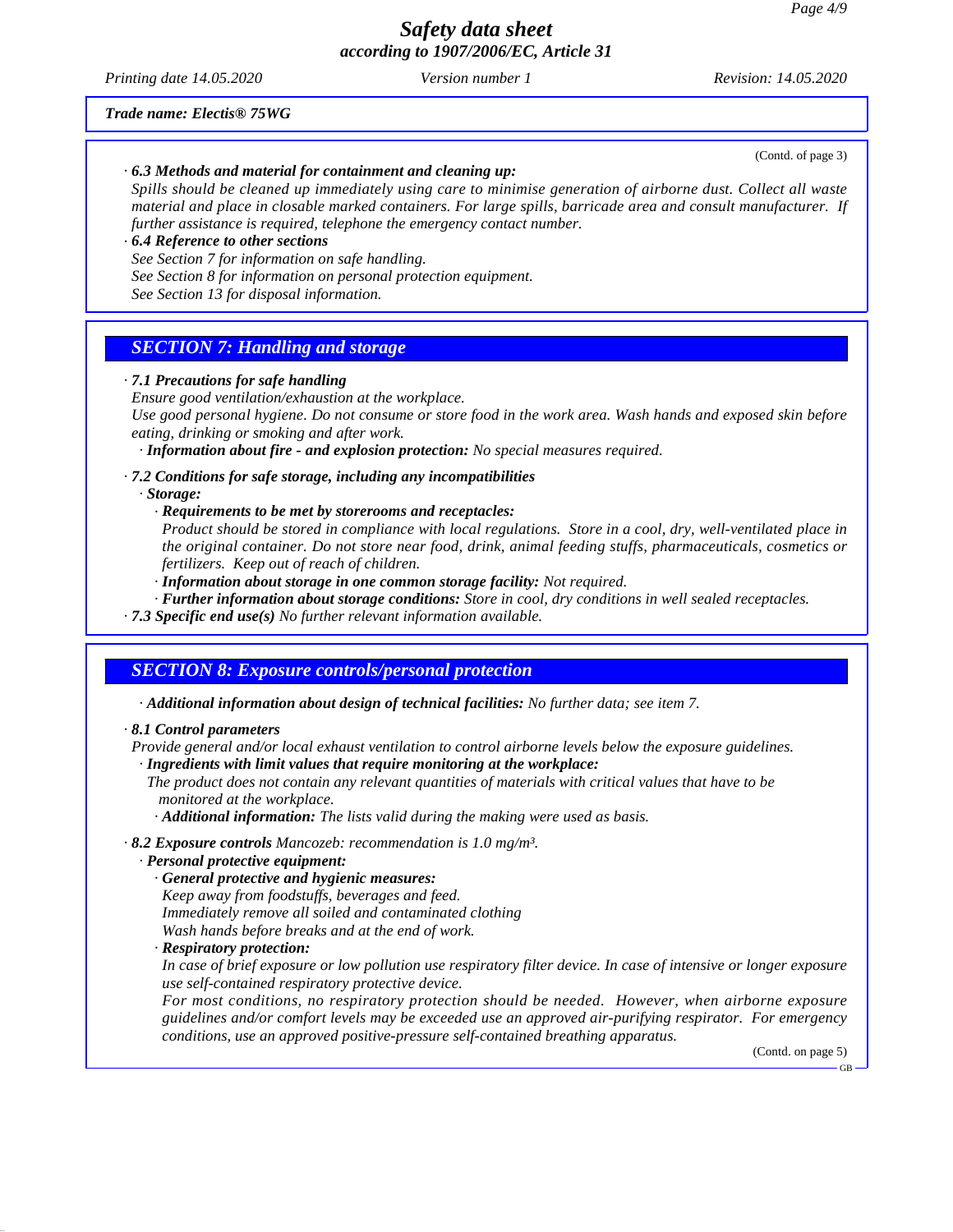*Printing date 14.05.2020 Version number 1 Revision: 14.05.2020*

(Contd. of page 3)

#### *Trade name: Electis® 75WG*

*· 6.3 Methods and material for containment and cleaning up:*

Spills should be cleaned up immediately using care to minimise generation of airborne dust. Collect all waste *material and place in closable marked containers. For large spills, barricade area and consult manufacturer. If further assistance is required, telephone the emergency contact number.*

#### *· 6.4 Reference to other sections*

*See Section 7 for information on safe handling.*

*See Section 8 for information on personal protection equipment.*

*See Section 13 for disposal information.*

## *SECTION 7: Handling and storage*

#### *· 7.1 Precautions for safe handling*

*Ensure good ventilation/exhaustion at the workplace.*

Use good personal hygiene. Do not consume or store food in the work area. Wash hands and exposed skin before *eating, drinking or smoking and after work.*

*· Information about fire - and explosion protection: No special measures required.*

#### *· 7.2 Conditions for safe storage, including any incompatibilities*

*· Storage:*

*· Requirements to be met by storerooms and receptacles:*

Product should be stored in compliance with local regulations. Store in a cool, dry, well-ventilated place in *the original container. Do notstore near food, drink, animal feeding stuffs, pharmaceuticals, cosmetics or fertilizers. Keep out of reach of children.*

*· Information about storage in one common storage facility: Not required.*

*· Further information about storage conditions: Store in cool, dry conditions in well sealed receptacles.*

*· 7.3 Specific end use(s) No further relevant information available.*

### *SECTION 8: Exposure controls/personal protection*

*· Additional information about design of technical facilities: No further data; see item 7.*

#### *· 8.1 Control parameters*

*Provide general and/or local exhaust ventilation to control airborne levels below the exposure guidelines. · Ingredients with limit values that require monitoring at the workplace:*

*The product does not contain any relevant quantities of materials with critical values that have to be monitored at the workplace.*

*· Additional information: The lists valid during the making were used as basis.*

*· 8.2 Exposure controls Mancozeb: recommendation is 1.0 mg/m³.*

#### *· Personal protective equipment:*

*· General protective and hygienic measures:*

*Keep away from foodstuf s, beverages and feed.*

*Immediately remove all soiled and contaminated clothing*

- *Wash hands before breaks and at the end of work.*
- *· Respiratory protection:*

51.0.11

In case of brief exposure or low pollution use respiratory filter device. In case of intensive or longer exposure *use self-contained respiratory protective device.*

*For most conditions, no respiratory protection should be needed. However, when airborne exposure guidelines and/or comfort levels may be exceeded use an approved air-purifying respirator. For emergency conditions, use an approved positive-pressure self-contained breathing apparatus.*

(Contd. on page 5)

GB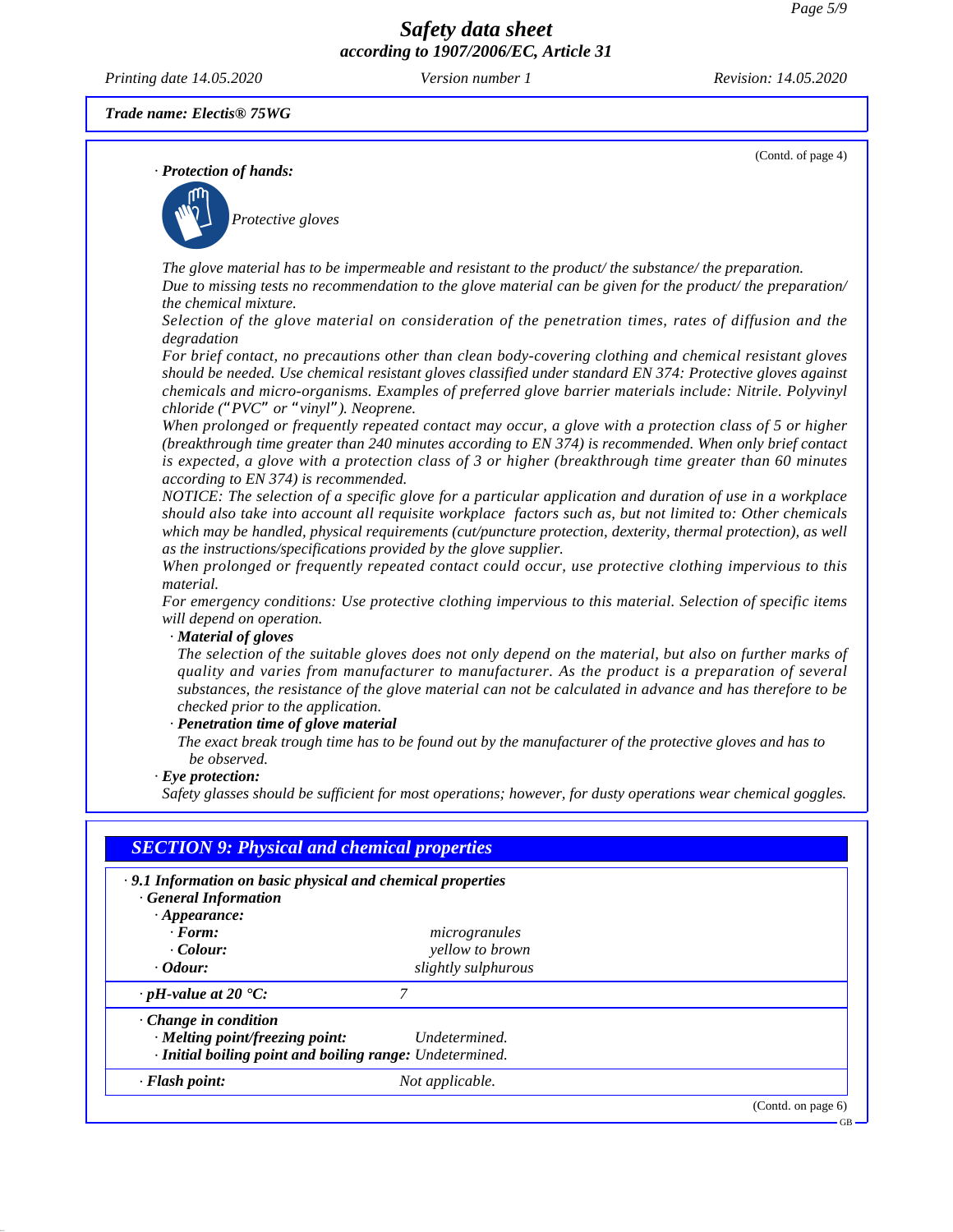*Printing date 14.05.2020 Version number 1 Revision: 14.05.2020*

(Contd. of page 4)

*Trade name: Electis® 75WG*

*· Protection of hands:*



*The glove material has to be impermeable and resistant to the product/ the substance/ the preparation.* Due to missing tests no recommendation to the glove material can be given for the product/ the preparation/ *the chemical mixture.*

*Selection of the glove material on consideration of the penetration times, rates of diffusion and the degradation*

*For brief contact, no precautions other than clean body-covering clothing and chemical resistant gloves should be needed. Use chemical resistant gloves classified under standard EN 374: Protective gloves against chemicals and micro-organisms. Examples of preferred glove barrier materials include: Nitrile. Polyvinyl chloride ("PVC" or "vinyl"). Neoprene.*

When prolonged or frequently repeated contact may occur, a glove with a protection class of 5 or higher *(breakthrough time greater than 240 minutes according to EN 374) is recommended. When only brief contact* is expected, a glove with a protection class of 3 or higher (breakthrough time greater than 60 minutes *according to EN 374) is recommended.*

NOTICE: The selection of a specific glove for a particular application and duration of use in a workplace should also take into account all requisite workplace factors such as, but not limited to: Other chemicals *which may be handled, physical requirements (cut/puncture protection, dexterity, thermal protection), as well as the instructions/specifications provided by the glove supplier.*

*When prolonged or frequently repeated contact could occur, use protective clothing impervious to this material.*

*For emergency conditions: Use protective clothing impervious to this material. Selection of specific items will depend on operation.*

#### *· Material of gloves*

The selection of the suitable gloves does not only depend on the material, but also on further marks of *quality and varies from manufacturer to manufacturer. As the product is a preparation of several* substances, the resistance of the glove material can not be calculated in advance and has therefore to be *checked prior to the application.*

#### *· Penetration time of glove material*

The exact break trough time has to be found out by the manufacturer of the protective gloves and has to *be observed.*

#### *· Eye protection:*

51.0.11

*Safety glasses should be suf icient for most operations; however, for dusty operations wear chemical goggles.*

| $\cdot$ 9.1 Information on basic physical and chemical properties<br><b>General Information</b> |                     |  |
|-------------------------------------------------------------------------------------------------|---------------------|--|
| $\cdot$ Appearance:                                                                             |                     |  |
| $\cdot$ Form:                                                                                   | microgranules       |  |
| $\cdot$ Colour:                                                                                 | yellow to brown     |  |
| <i>Colour:</i>                                                                                  | slightly sulphurous |  |
| $\cdot$ pH-value at 20 $\textdegree$ C:                                                         | 7                   |  |
| $\cdot$ Change in condition                                                                     |                     |  |
| · Melting point/freezing point:                                                                 | Undetermined.       |  |
| · Initial boiling point and boiling range: Undetermined.                                        |                     |  |
| $\cdot$ Flash point:                                                                            | Not applicable.     |  |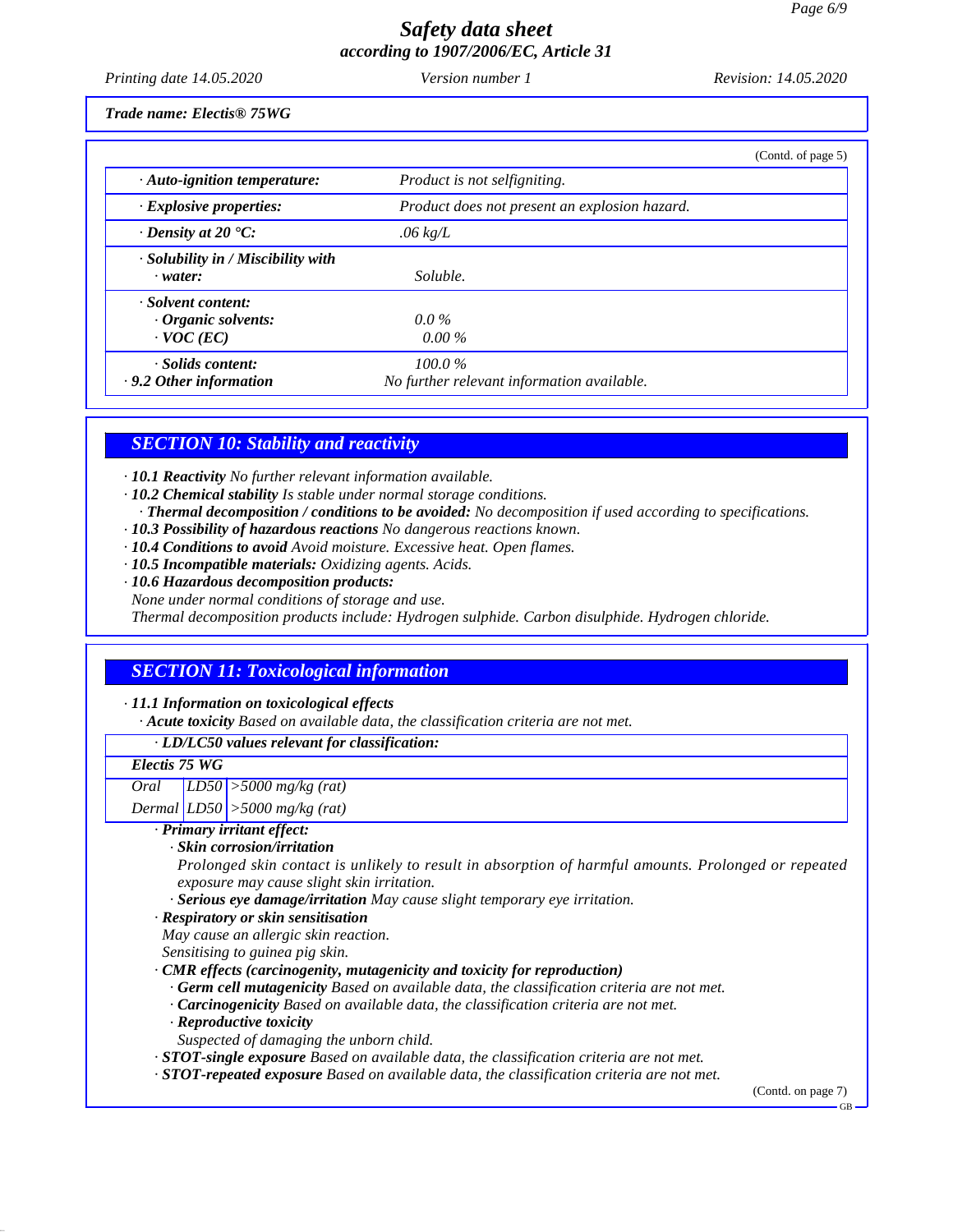*Printing date 14.05.2020 Version number 1 Revision: 14.05.2020*

*Trade name: Electis® 75WG*

|                                                                     | (Contd. of page 5)                                      |  |
|---------------------------------------------------------------------|---------------------------------------------------------|--|
| $\cdot$ Auto-ignition temperature:                                  | Product is not selfigniting.                            |  |
| $\cdot$ Explosive properties:                                       | Product does not present an explosion hazard.           |  |
| $\cdot$ Density at 20 $\cdot$ C:                                    | $.06 \text{ kg/L}$                                      |  |
| $\cdot$ Solubility in / Miscibility with<br>$\cdot$ water:          | Soluble.                                                |  |
| · Solvent content:<br>$\cdot$ Organic solvents:<br>$\cdot$ VOC (EC) | $0.0\%$<br>$0.00\%$                                     |  |
| · Solids content:<br>$\cdot$ 9.2 Other information                  | $100.0\%$<br>No further relevant information available. |  |

### *SECTION 10: Stability and reactivity*

*· 10.1 Reactivity No further relevant information available.*

- *· 10.2 Chemical stability Is stable under normal storage conditions.*
- *· Thermal decomposition / conditions to be avoided: No decomposition if used according to specifications.*
- *· 10.3 Possibility of hazardous reactions No dangerous reactions known.*
- *· 10.4 Conditions to avoid Avoid moisture. Excessive heat. Open flames.*

*· 10.5 Incompatible materials: Oxidizing agents. Acids.*

*· 10.6 Hazardous decomposition products:*

None under normal conditions of storage and use.<br>Thermal decomposition products include: Hydrogen sulphide. Carbon disulphide. Hydrogen chloride.

## *SECTION 11: Toxicological information*

#### *· 11.1 Information on toxicological effects*

51.0.11

*· Acute toxicity Based on available data, the classification criteria are not met.*

#### *· LD/LC50 values relevant for classification:*

| Electis 75 WG |                                                                                                      |
|---------------|------------------------------------------------------------------------------------------------------|
| Oral          | $ LD50 $ > 5000 mg/kg (rat)                                                                          |
|               | Dermal $LD50$ > 5000 mg/kg (rat)                                                                     |
|               | · Primary irritant effect:                                                                           |
|               | · Skin corrosion/irritation                                                                          |
|               | Prolonged skin contact is unlikely to result in absorption of harmful amounts. Prolonged or repeated |
|               | exposure may cause slight skin irritation.                                                           |
|               | · Serious eye damage/irritation May cause slight temporary eye irritation.                           |
|               | · Respiratory or skin sensitisation                                                                  |
|               | May cause an allergic skin reaction.                                                                 |
|               | Sensitising to guinea pig skin.                                                                      |
|               | $\cdot$ CMR effects (carcinogenity, mutagenicity and toxicity for reproduction)                      |
|               | $\cdot$ Germ cell mutagenicity Based on available data, the classification criteria are not met.     |
|               | $\cdot$ <b>Carcinogenicity</b> Based on available data, the classification criteria are not met.     |
|               | $\cdot$ Reproductive toxicity                                                                        |
|               | Suspected of damaging the unborn child.                                                              |
|               |                                                                                                      |

*· STOT-single exposure Based on available data, the classification criteria are not met.*

*· STOT-repeated exposure Based on available data, the classification criteria are not met.*

(Contd. on page 7)

GB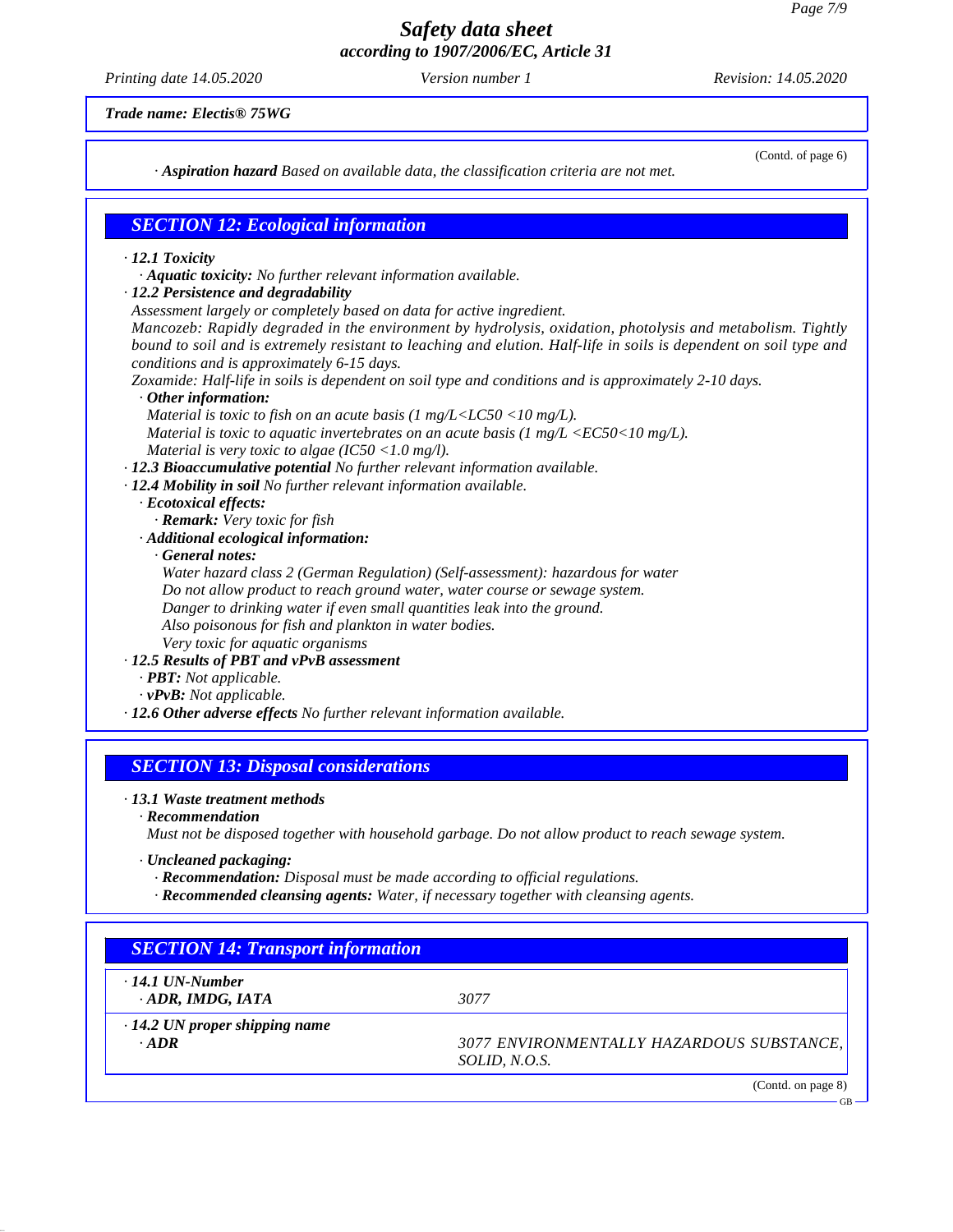*Printing date 14.05.2020 Version number 1 Revision: 14.05.2020*

(Contd. of page 6)

*Trade name: Electis® 75WG*

*· Aspiration hazard Based on available data, the classification criteria are not met.*

## *SECTION 12: Ecological information*

#### *· 12.1 Toxicity*

*· Aquatic toxicity: No further relevant information available.*

*· 12.2 Persistence and degradability*

*Assessment largely or completely based on data for active ingredient.*

*Mancozeb: Rapidly degraded in the environment by hydrolysis, oxidation, photolysis and metabolism. Tightly* bound to soil and is extremely resistant to leaching and elution. Half-life in soils is dependent on soil type and *conditions and is approximately 6-15 days.*

*Zoxamide: Half-life in soils is dependent on soil type and conditions and is approximately 2-10 days.*

## *· Other information:*

*Material is toxic to fish on an acute basis (1 mg/L<LC50 <10 mg/L).*

- *Material is toxic to aquatic invertebrates on an acute basis (1 mg/L <EC50<10 mg/L). Material is very toxic to algae (IC50 <1.0 mg/l).*
- *· 12.3 Bioaccumulative potential No further relevant information available.*

*· 12.4 Mobility in soil No further relevant information available.*

- *· Ecotoxical effects:*
	- *· Remark: Very toxic for fish*
- *· Additional ecological information:*

*· General notes:*

*Water hazard class 2 (German Regulation) (Self-assessment): hazardous for water Do not allow product to reach ground water, water course or sewage system. Danger to drinking water ifeven small quantities leak into the ground. Also poisonous for fish and plankton in water bodies. Very toxic for aquatic organisms*

#### *· 12.5 Results of PBT and vPvB assessment*

- *· PBT: Not applicable.*
- *· vPvB: Not applicable.*
- *· 12.6 Other adverse effects No further relevant information available.*

## *SECTION 13: Disposal considerations*

### *· 13.1 Waste treatment methods*

*· Recommendation*

*Must not be disposed together with household garbage. Do notallow product to reach sewage system.*

*· Uncleaned packaging:*

- *· Recommendation: Disposal must be made according to of icial regulations.*
- *· Recommended cleansing agents: Water, if necessary together with cleansing agents.*

# *SECTION 14: Transport information*

*· 14.1 UN-Number · ADR, IMDG, IATA 3077*

51.0.11

*· 14.2 UN proper shipping name*

*· ADR 3077 ENVIRONMENTALLY HAZARDOUS SUBSTANCE, SOLID, N.O.S.*

(Contd. on page 8)

GB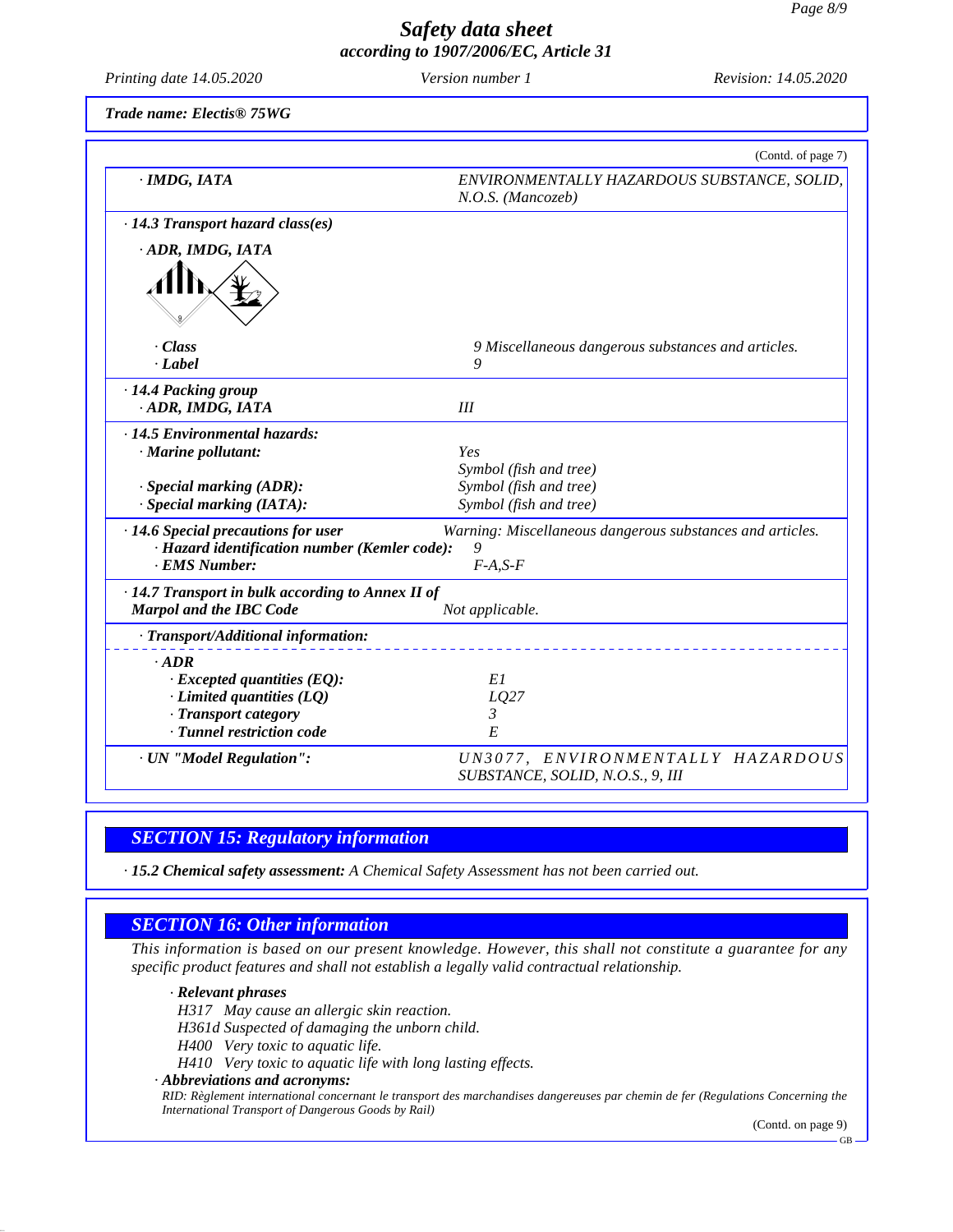*Printing date 14.05.2020 Version number 1 Revision: 14.05.2020*

*Trade name: Electis® 75WG*

|                                                   | (Contd. of page 7)                                                    |
|---------------------------------------------------|-----------------------------------------------------------------------|
| $\cdot$ IMDG, IATA                                | ENVIRONMENTALLY HAZARDOUS SUBSTANCE, SOLID,<br>N.O.S. (Mancozeb)      |
| $\cdot$ 14.3 Transport hazard class(es)           |                                                                       |
| ADR, IMDG, IATA                                   |                                                                       |
|                                                   |                                                                       |
| · Class                                           | 9 Miscellaneous dangerous substances and articles.                    |
| $-Label$                                          | 9                                                                     |
| · 14.4 Packing group                              |                                                                       |
| · ADR, IMDG, IATA                                 | III                                                                   |
| · 14.5 Environmental hazards:                     |                                                                       |
| · Marine pollutant:                               | Yes                                                                   |
|                                                   | Symbol (fish and tree)                                                |
| $\cdot$ Special marking (ADR):                    | Symbol (fish and tree)                                                |
| $\cdot$ Special marking (IATA):                   | Symbol (fish and tree)                                                |
| · 14.6 Special precautions for user               | Warning: Miscellaneous dangerous substances and articles.             |
| · Hazard identification number (Kemler code):     | 9                                                                     |
| · EMS Number:                                     | $F-A, S-F$                                                            |
| · 14.7 Transport in bulk according to Annex II of |                                                                       |
| <b>Marpol and the IBC Code</b>                    | Not applicable.                                                       |
| · Transport/Additional information:               |                                                                       |
| $\cdot$ <i>ADR</i>                                |                                                                       |
| $\cdot$ Excepted quantities (EQ):                 | E1                                                                    |
| $\cdot$ Limited quantities (LQ)                   | LQ27                                                                  |
| · Transport category                              | 3                                                                     |
| · Tunnel restriction code                         | E                                                                     |
| · UN "Model Regulation":                          | UN3077, ENVIRONMENTALLY HAZARDOUS<br>SUBSTANCE, SOLID, N.O.S., 9, III |

## *SECTION 15: Regulatory information*

*· 15.2 Chemical safety assessment: A Chemical Safety Assessment has not been carried out.*

## *SECTION 16: Other information*

This information is based on our present knowledge. However, this shall not constitute a guarantee for any *specific product features and shall not establish a legally valid contractual relationship.*

*· Relevant phrases*

51.0.11

*H317 May cause an allergic skin reaction.*

*H361d Suspected of damaging the unborn child.*

*H400 Very toxic to aquatic life.*

*H410 Very toxic to aquatic life with long lasting ef ects.*

*· Abbreviations and acronyms:*

RID: Règlement international concernant le transport des marchandises dangereuses par chemin de fer (Regulations Concerning the *International Transport of Dangerous Goods by Rail)*

(Contd. on page 9)

GB